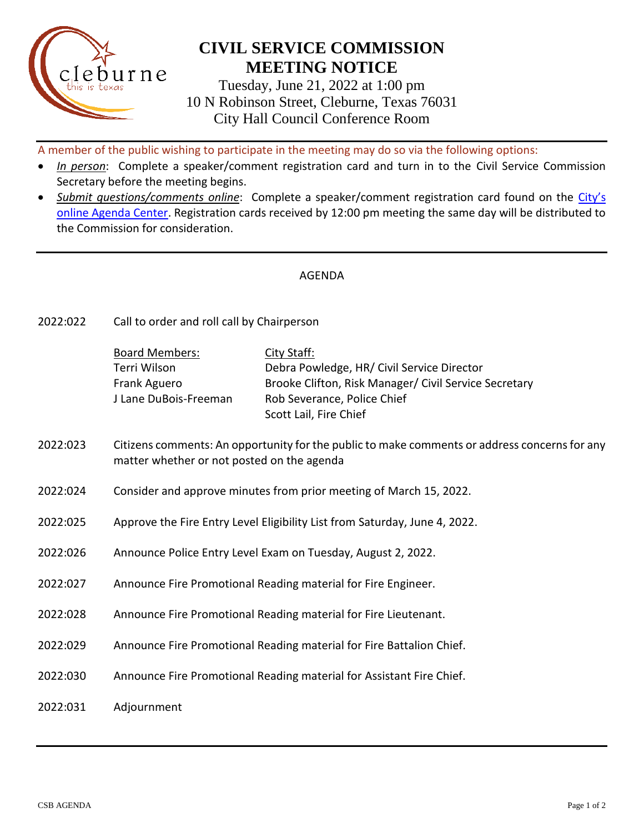

## **CIVIL SERVICE COMMISSION MEETING NOTICE**

Tuesday, June 21, 2022 at 1:00 pm 10 N Robinson Street, Cleburne, Texas 76031 City Hall Council Conference Room

A member of the public wishing to participate in the meeting may do so via the following options:

- *In person*: Complete a speaker/comment registration card and turn in to the Civil Service Commission Secretary before the meeting begins.
- *Submit questions/comments online*: Complete a speaker/comment registration card found on the [City's](https://www.cleburne.net/agendacenter)  [online Agenda Center.](https://www.cleburne.net/agendacenter) Registration cards received by 12:00 pm meeting the same day will be distributed to the Commission for consideration.

## AGENDA

2022:022 Call to order and roll call by Chairperson

| <b>Board Members:</b> | City Staff:                                           |
|-----------------------|-------------------------------------------------------|
| Terri Wilson          | Debra Powledge, HR/ Civil Service Director            |
| Frank Aguero          | Brooke Clifton, Risk Manager/ Civil Service Secretary |
| J Lane DuBois-Freeman | Rob Severance, Police Chief                           |
|                       | Scott Lail, Fire Chief                                |

- 2022:023 Citizens comments: An opportunity for the public to make comments or address concerns for any matter whether or not posted on the agenda
- 2022:024 Consider and approve minutes from prior meeting of March 15, 2022.
- 2022:025 Approve the Fire Entry Level Eligibility List from Saturday, June 4, 2022.
- 2022:026 Announce Police Entry Level Exam on Tuesday, August 2, 2022.
- 2022:027 Announce Fire Promotional Reading material for Fire Engineer.
- 2022:028 Announce Fire Promotional Reading material for Fire Lieutenant.
- 2022:029 Announce Fire Promotional Reading material for Fire Battalion Chief.
- 2022:030 Announce Fire Promotional Reading material for Assistant Fire Chief.
- 2022:031 Adjournment